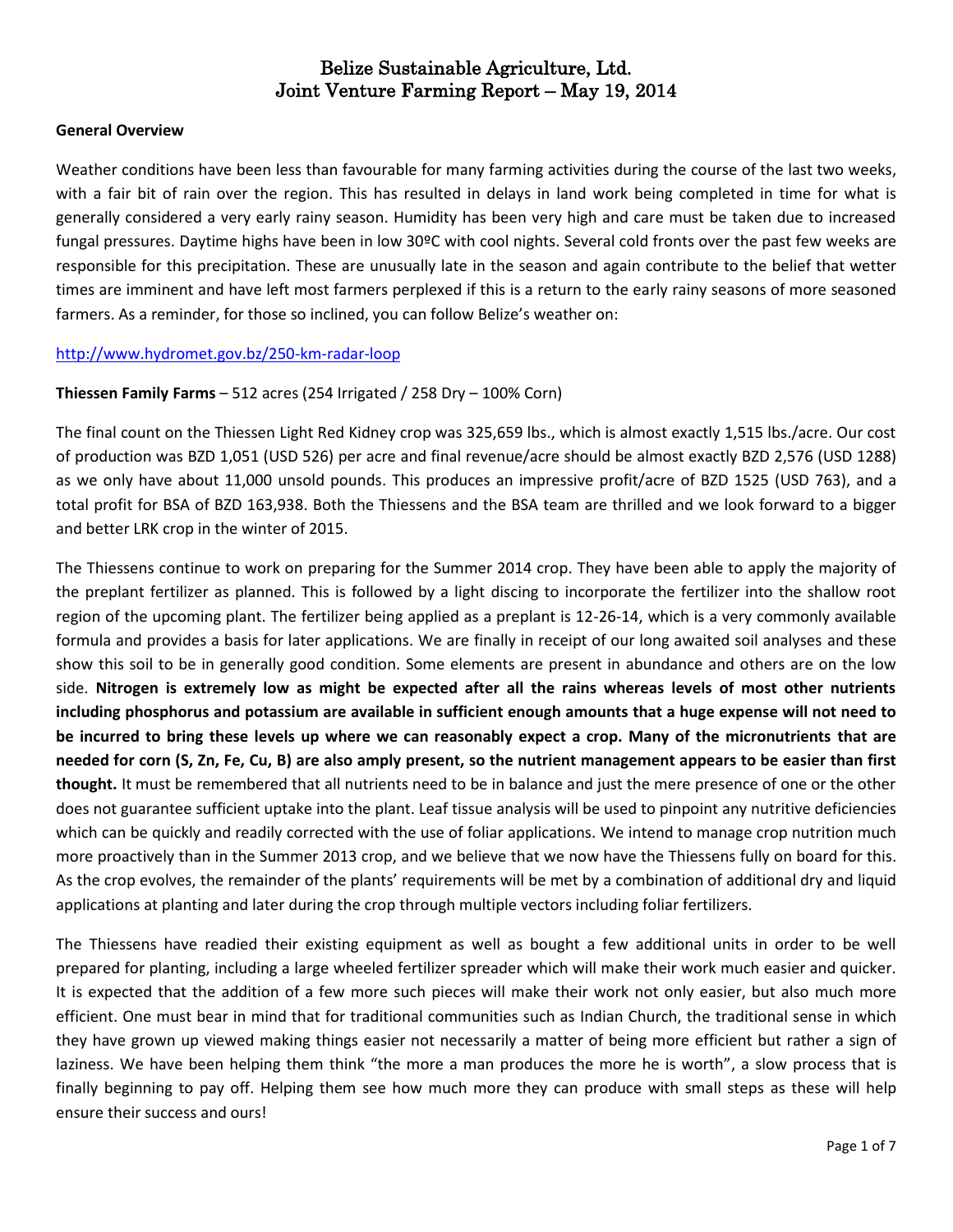### **General Overview**

Weather conditions have been less than favourable for many farming activities during the course of the last two weeks, with a fair bit of rain over the region. This has resulted in delays in land work being completed in time for what is generally considered a very early rainy season. Humidity has been very high and care must be taken due to increased fungal pressures. Daytime highs have been in low 30ºC with cool nights. Several cold fronts over the past few weeks are responsible for this precipitation. These are unusually late in the season and again contribute to the belief that wetter times are imminent and have left most farmers perplexed if this is a return to the early rainy seasons of more seasoned farmers. As a reminder, for those so inclined, you can follow Belize's weather on:

#### <http://www.hydromet.gov.bz/250-km-radar-loop>

### **Thiessen Family Farms** – 512 acres (254 Irrigated / 258 Dry – 100% Corn)

The final count on the Thiessen Light Red Kidney crop was 325,659 lbs., which is almost exactly 1,515 lbs./acre. Our cost of production was BZD 1,051 (USD 526) per acre and final revenue/acre should be almost exactly BZD 2,576 (USD 1288) as we only have about 11,000 unsold pounds. This produces an impressive profit/acre of BZD 1525 (USD 763), and a total profit for BSA of BZD 163,938. Both the Thiessens and the BSA team are thrilled and we look forward to a bigger and better LRK crop in the winter of 2015.

The Thiessens continue to work on preparing for the Summer 2014 crop. They have been able to apply the majority of the preplant fertilizer as planned. This is followed by a light discing to incorporate the fertilizer into the shallow root region of the upcoming plant. The fertilizer being applied as a preplant is 12-26-14, which is a very commonly available formula and provides a basis for later applications. We are finally in receipt of our long awaited soil analyses and these show this soil to be in generally good condition. Some elements are present in abundance and others are on the low side. **Nitrogen is extremely low as might be expected after all the rains whereas levels of most other nutrients including phosphorus and potassium are available in sufficient enough amounts that a huge expense will not need to be incurred to bring these levels up where we can reasonably expect a crop. Many of the micronutrients that are needed for corn (S, Zn, Fe, Cu, B) are also amply present, so the nutrient management appears to be easier than first thought.** It must be remembered that all nutrients need to be in balance and just the mere presence of one or the other does not guarantee sufficient uptake into the plant. Leaf tissue analysis will be used to pinpoint any nutritive deficiencies which can be quickly and readily corrected with the use of foliar applications. We intend to manage crop nutrition much more proactively than in the Summer 2013 crop, and we believe that we now have the Thiessens fully on board for this. As the crop evolves, the remainder of the plants' requirements will be met by a combination of additional dry and liquid applications at planting and later during the crop through multiple vectors including foliar fertilizers.

The Thiessens have readied their existing equipment as well as bought a few additional units in order to be well prepared for planting, including a large wheeled fertilizer spreader which will make their work much easier and quicker. It is expected that the addition of a few more such pieces will make their work not only easier, but also much more efficient. One must bear in mind that for traditional communities such as Indian Church, the traditional sense in which they have grown up viewed making things easier not necessarily a matter of being more efficient but rather a sign of laziness. We have been helping them think "the more a man produces the more he is worth", a slow process that is finally beginning to pay off. Helping them see how much more they can produce with small steps as these will help ensure their success and ours!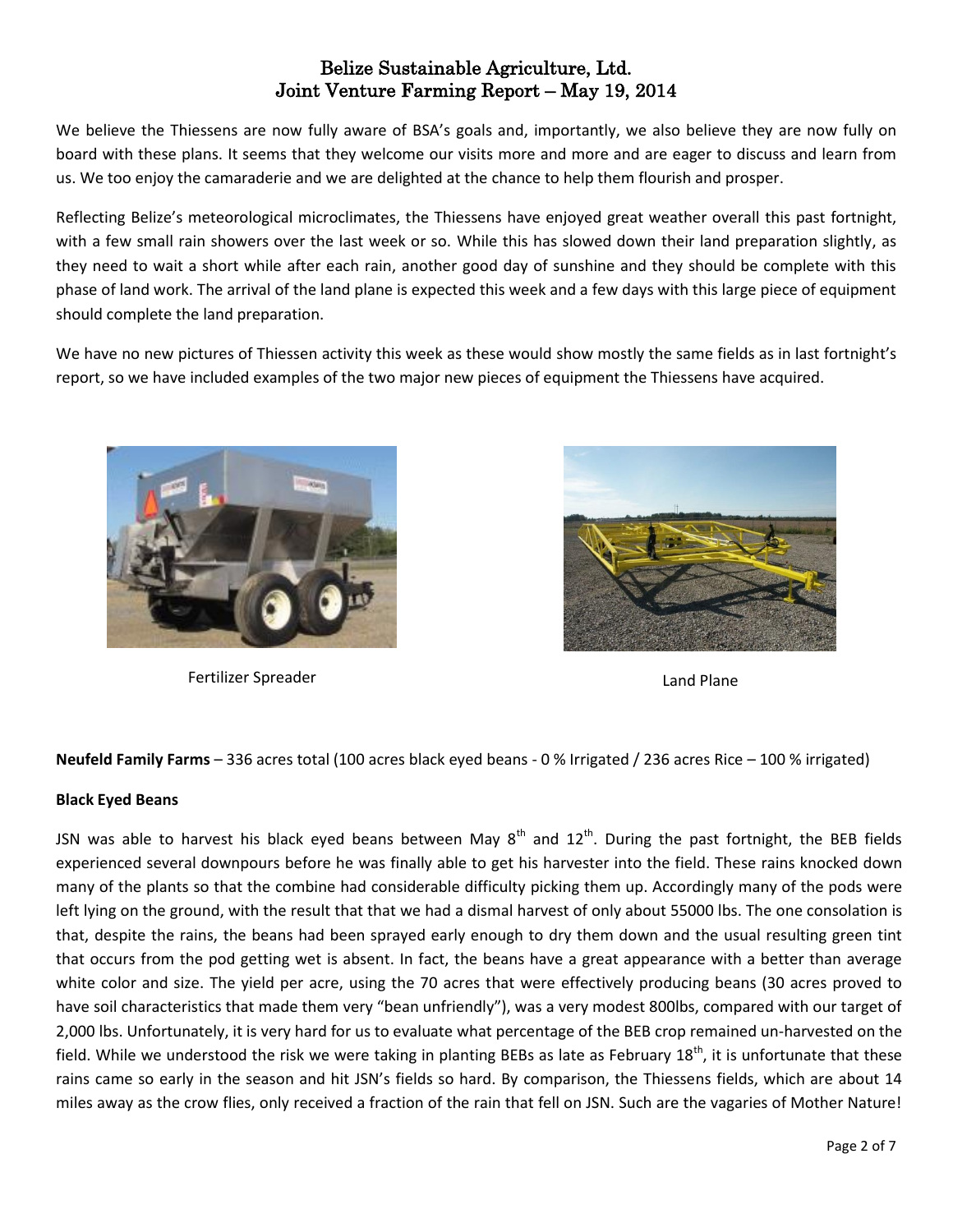We believe the Thiessens are now fully aware of BSA's goals and, importantly, we also believe they are now fully on board with these plans. It seems that they welcome our visits more and more and are eager to discuss and learn from us. We too enjoy the camaraderie and we are delighted at the chance to help them flourish and prosper.

Reflecting Belize's meteorological microclimates, the Thiessens have enjoyed great weather overall this past fortnight, with a few small rain showers over the last week or so. While this has slowed down their land preparation slightly, as they need to wait a short while after each rain, another good day of sunshine and they should be complete with this phase of land work. The arrival of the land plane is expected this week and a few days with this large piece of equipment should complete the land preparation.

We have no new pictures of Thiessen activity this week as these would show mostly the same fields as in last fortnight's report, so we have included examples of the two major new pieces of equipment the Thiessens have acquired.



Fertilizer Spreader Land Plane



**Neufeld Family Farms** – 336 acres total (100 acres black eyed beans - 0 % Irrigated / 236 acres Rice – 100 % irrigated)

### **Black Eyed Beans**

JSN was able to harvest his black eyed beans between May  $8^{th}$  and  $12^{th}$ . During the past fortnight, the BEB fields experienced several downpours before he was finally able to get his harvester into the field. These rains knocked down many of the plants so that the combine had considerable difficulty picking them up. Accordingly many of the pods were left lying on the ground, with the result that that we had a dismal harvest of only about 55000 lbs. The one consolation is that, despite the rains, the beans had been sprayed early enough to dry them down and the usual resulting green tint that occurs from the pod getting wet is absent. In fact, the beans have a great appearance with a better than average white color and size. The yield per acre, using the 70 acres that were effectively producing beans (30 acres proved to have soil characteristics that made them very "bean unfriendly"), was a very modest 800lbs, compared with our target of 2,000 lbs. Unfortunately, it is very hard for us to evaluate what percentage of the BEB crop remained un-harvested on the field. While we understood the risk we were taking in planting BEBs as late as February  $18<sup>th</sup>$ , it is unfortunate that these rains came so early in the season and hit JSN's fields so hard. By comparison, the Thiessens fields, which are about 14 miles away as the crow flies, only received a fraction of the rain that fell on JSN. Such are the vagaries of Mother Nature!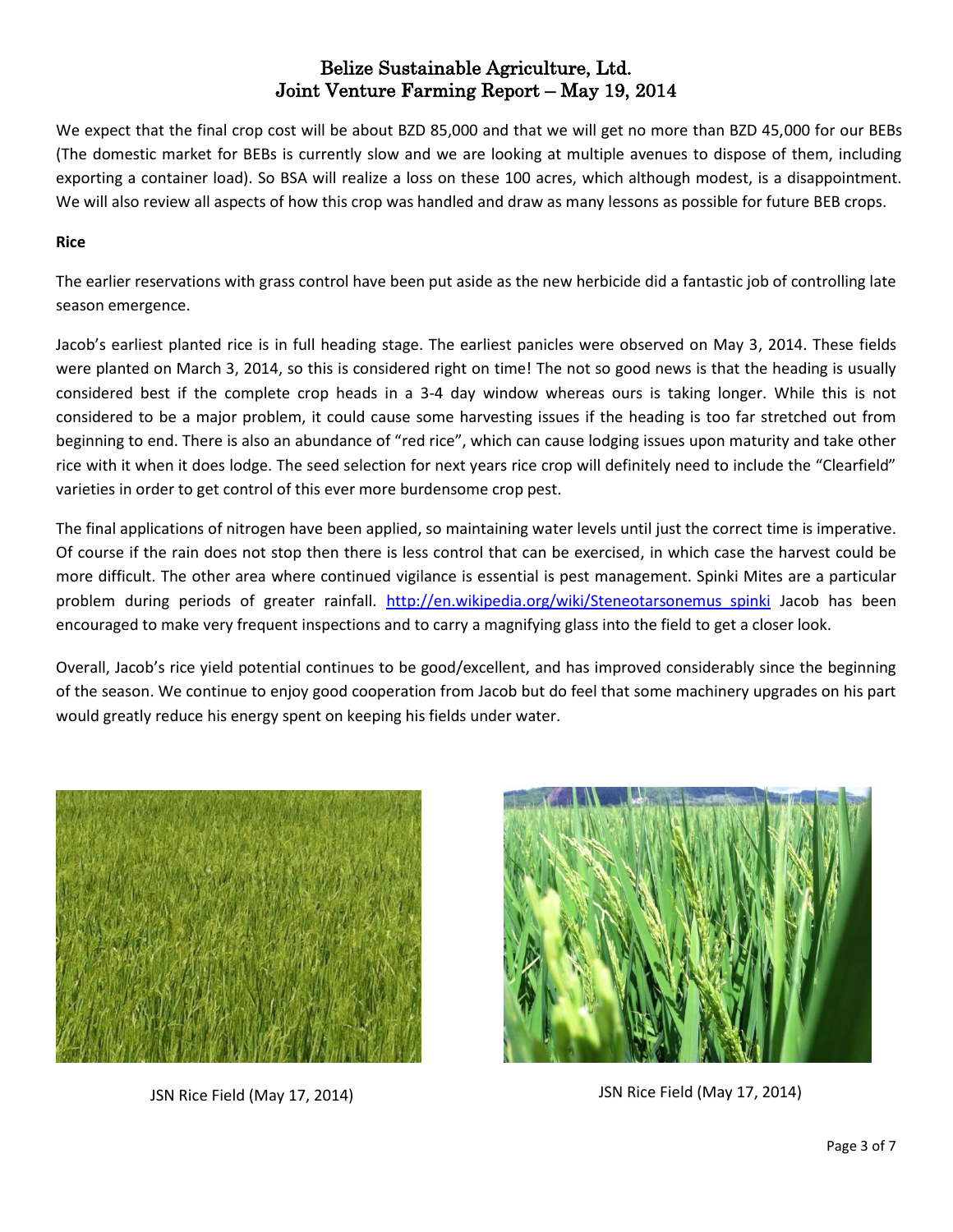We expect that the final crop cost will be about BZD 85,000 and that we will get no more than BZD 45,000 for our BEBs (The domestic market for BEBs is currently slow and we are looking at multiple avenues to dispose of them, including exporting a container load). So BSA will realize a loss on these 100 acres, which although modest, is a disappointment. We will also review all aspects of how this crop was handled and draw as many lessons as possible for future BEB crops.

## **Rice**

The earlier reservations with grass control have been put aside as the new herbicide did a fantastic job of controlling late season emergence.

Jacob's earliest planted rice is in full heading stage. The earliest panicles were observed on May 3, 2014. These fields were planted on March 3, 2014, so this is considered right on time! The not so good news is that the heading is usually considered best if the complete crop heads in a 3-4 day window whereas ours is taking longer. While this is not considered to be a major problem, it could cause some harvesting issues if the heading is too far stretched out from beginning to end. There is also an abundance of "red rice", which can cause lodging issues upon maturity and take other rice with it when it does lodge. The seed selection for next years rice crop will definitely need to include the "Clearfield" varieties in order to get control of this ever more burdensome crop pest.

The final applications of nitrogen have been applied, so maintaining water levels until just the correct time is imperative. Of course if the rain does not stop then there is less control that can be exercised, in which case the harvest could be more difficult. The other area where continued vigilance is essential is pest management. Spinki Mites are a particular problem during periods of greater rainfall. [http://en.wikipedia.org/wiki/Steneotarsonemus\\_spinki](http://en.wikipedia.org/wiki/Steneotarsonemus_spinki) Jacob has been encouraged to make very frequent inspections and to carry a magnifying glass into the field to get a closer look.

Overall, Jacob's rice yield potential continues to be good/excellent, and has improved considerably since the beginning of the season. We continue to enjoy good cooperation from Jacob but do feel that some machinery upgrades on his part would greatly reduce his energy spent on keeping his fields under water.



JSN Rice Field (May 17, 2014) JSN Rice Field (May 17, 2014)

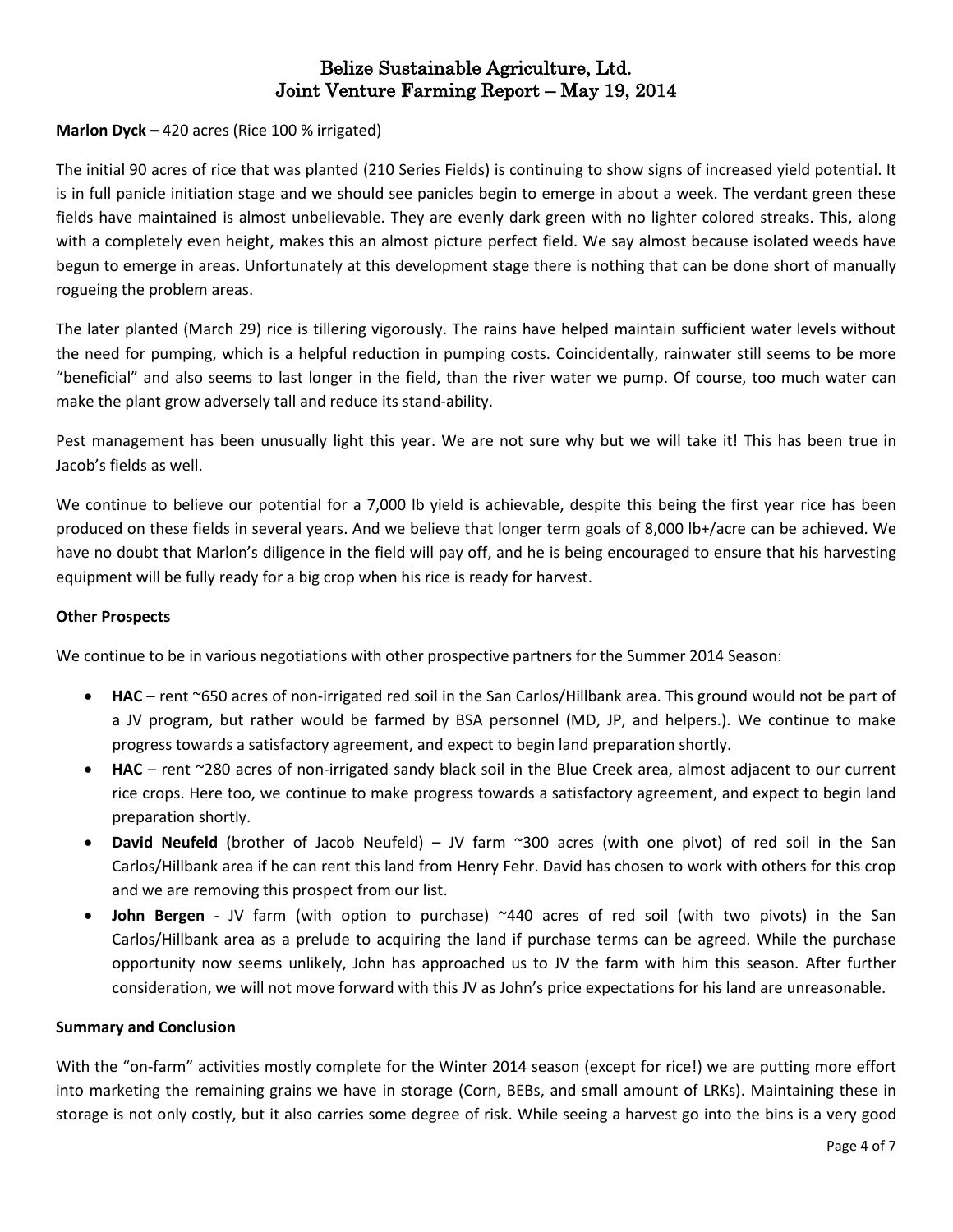## **Marlon Dyck –** 420 acres (Rice 100 % irrigated)

The initial 90 acres of rice that was planted (210 Series Fields) is continuing to show signs of increased yield potential. It is in full panicle initiation stage and we should see panicles begin to emerge in about a week. The verdant green these fields have maintained is almost unbelievable. They are evenly dark green with no lighter colored streaks. This, along with a completely even height, makes this an almost picture perfect field. We say almost because isolated weeds have begun to emerge in areas. Unfortunately at this development stage there is nothing that can be done short of manually rogueing the problem areas.

The later planted (March 29) rice is tillering vigorously. The rains have helped maintain sufficient water levels without the need for pumping, which is a helpful reduction in pumping costs. Coincidentally, rainwater still seems to be more "beneficial" and also seems to last longer in the field, than the river water we pump. Of course, too much water can make the plant grow adversely tall and reduce its stand-ability.

Pest management has been unusually light this year. We are not sure why but we will take it! This has been true in Jacob's fields as well.

We continue to believe our potential for a 7,000 lb yield is achievable, despite this being the first year rice has been produced on these fields in several years. And we believe that longer term goals of 8,000 lb+/acre can be achieved. We have no doubt that Marlon's diligence in the field will pay off, and he is being encouraged to ensure that his harvesting equipment will be fully ready for a big crop when his rice is ready for harvest.

### **Other Prospects**

We continue to be in various negotiations with other prospective partners for the Summer 2014 Season:

- **HAC** rent ~650 acres of non-irrigated red soil in the San Carlos/Hillbank area. This ground would not be part of a JV program, but rather would be farmed by BSA personnel (MD, JP, and helpers.). We continue to make progress towards a satisfactory agreement, and expect to begin land preparation shortly.
- **HAC**  rent ~280 acres of non-irrigated sandy black soil in the Blue Creek area, almost adjacent to our current rice crops. Here too, we continue to make progress towards a satisfactory agreement, and expect to begin land preparation shortly.
- **David Neufeld** (brother of Jacob Neufeld) JV farm ~300 acres (with one pivot) of red soil in the San Carlos/Hillbank area if he can rent this land from Henry Fehr. David has chosen to work with others for this crop and we are removing this prospect from our list.
- **John Bergen** JV farm (with option to purchase) ~440 acres of red soil (with two pivots) in the San Carlos/Hillbank area as a prelude to acquiring the land if purchase terms can be agreed. While the purchase opportunity now seems unlikely, John has approached us to JV the farm with him this season. After further consideration, we will not move forward with this JV as John's price expectations for his land are unreasonable.

#### **Summary and Conclusion**

With the "on-farm" activities mostly complete for the Winter 2014 season (except for rice!) we are putting more effort into marketing the remaining grains we have in storage (Corn, BEBs, and small amount of LRKs). Maintaining these in storage is not only costly, but it also carries some degree of risk. While seeing a harvest go into the bins is a very good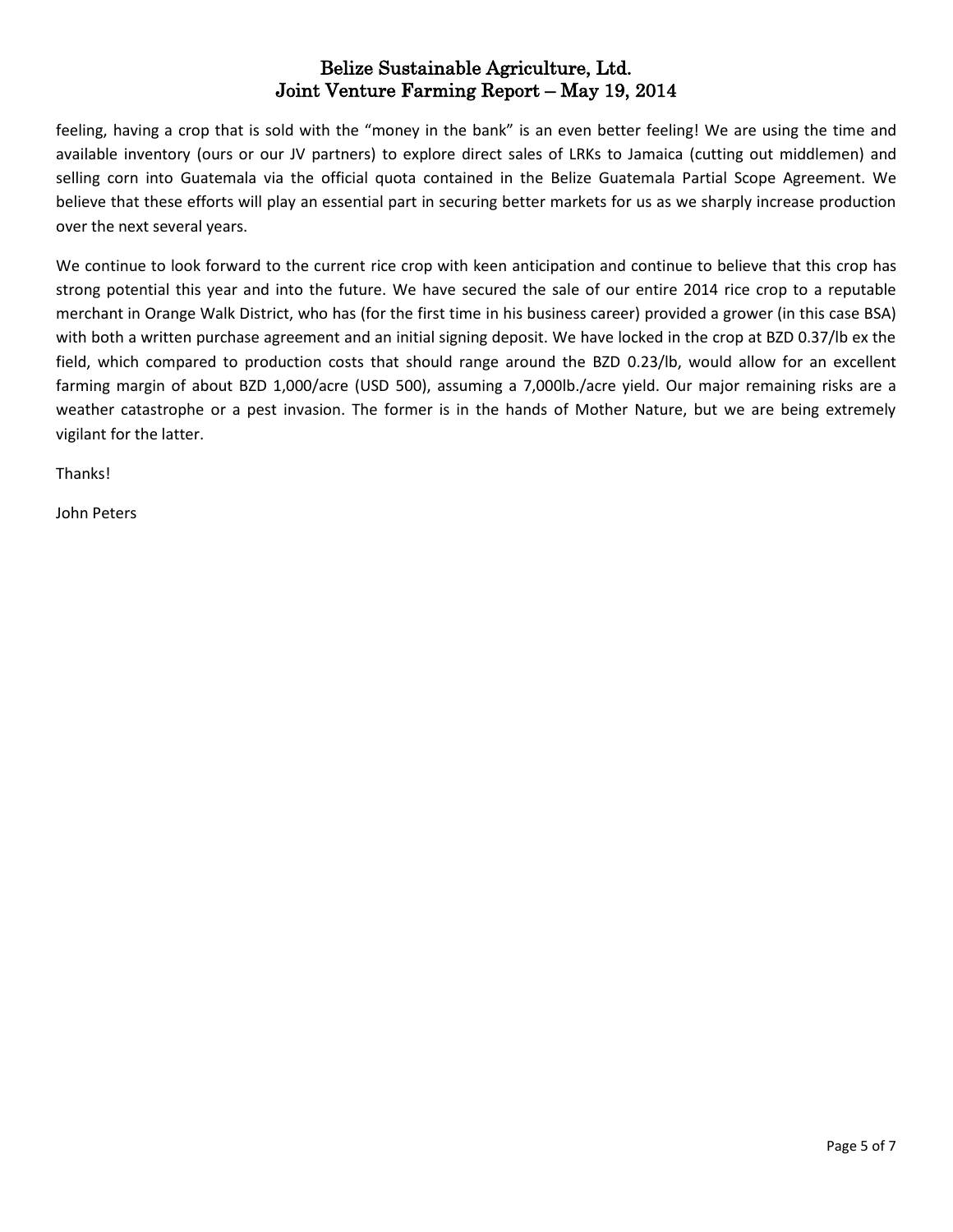feeling, having a crop that is sold with the "money in the bank" is an even better feeling! We are using the time and available inventory (ours or our JV partners) to explore direct sales of LRKs to Jamaica (cutting out middlemen) and selling corn into Guatemala via the official quota contained in the Belize Guatemala Partial Scope Agreement. We believe that these efforts will play an essential part in securing better markets for us as we sharply increase production over the next several years.

We continue to look forward to the current rice crop with keen anticipation and continue to believe that this crop has strong potential this year and into the future. We have secured the sale of our entire 2014 rice crop to a reputable merchant in Orange Walk District, who has (for the first time in his business career) provided a grower (in this case BSA) with both a written purchase agreement and an initial signing deposit. We have locked in the crop at BZD 0.37/lb ex the field, which compared to production costs that should range around the BZD 0.23/lb, would allow for an excellent farming margin of about BZD 1,000/acre (USD 500), assuming a 7,000lb./acre yield. Our major remaining risks are a weather catastrophe or a pest invasion. The former is in the hands of Mother Nature, but we are being extremely vigilant for the latter.

Thanks!

John Peters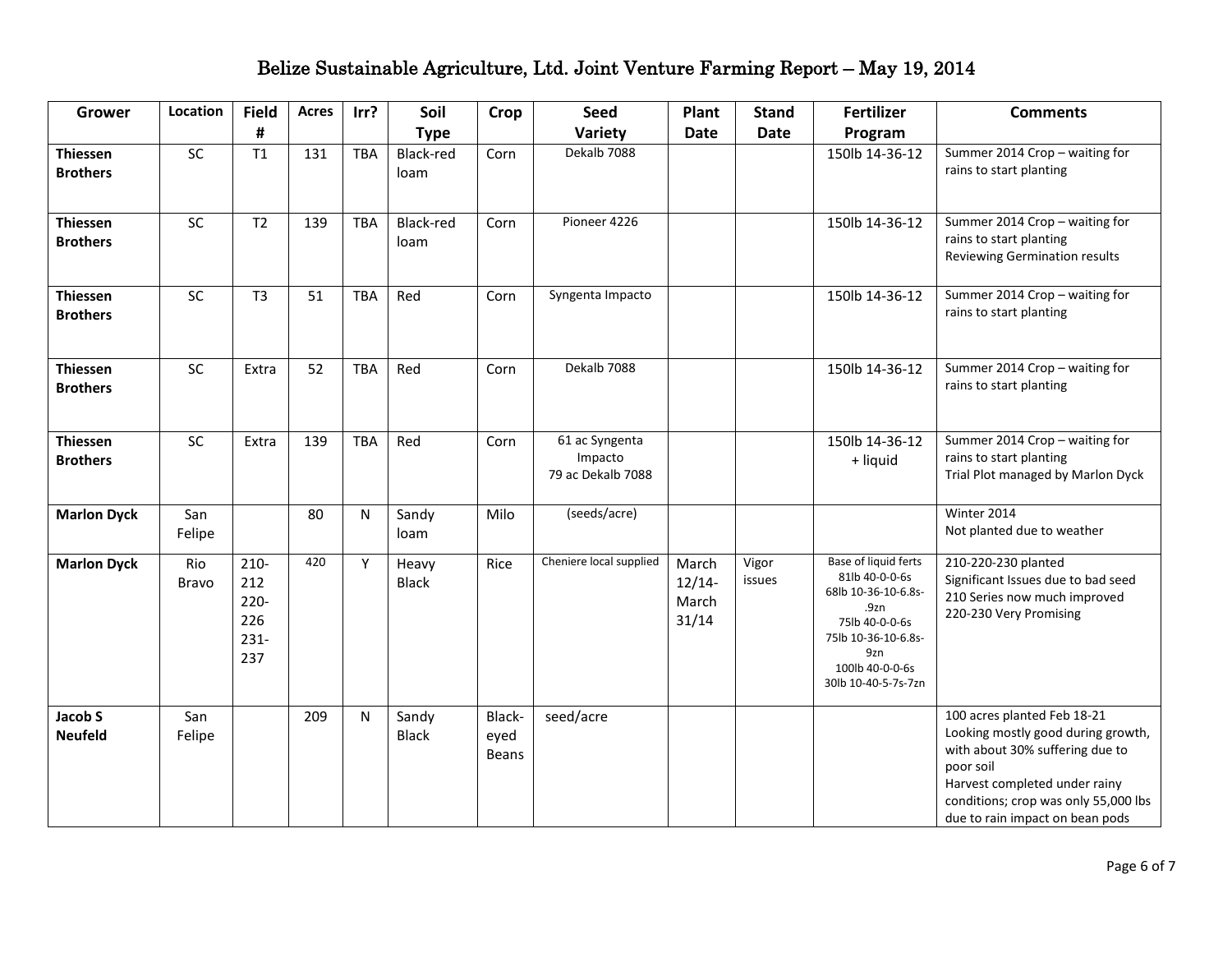| <b>Grower</b>                      | Location      | <b>Field</b>                                       | <b>Acres</b> | Irr?       | Soil                  | <b>Crop</b>                    | <b>Seed</b>                                    | Plant                               | <b>Stand</b>    | <b>Fertilizer</b>                                                                                                                                               | <b>Comments</b>                                                                                                                                                                                                               |
|------------------------------------|---------------|----------------------------------------------------|--------------|------------|-----------------------|--------------------------------|------------------------------------------------|-------------------------------------|-----------------|-----------------------------------------------------------------------------------------------------------------------------------------------------------------|-------------------------------------------------------------------------------------------------------------------------------------------------------------------------------------------------------------------------------|
|                                    |               | #                                                  |              |            | <b>Type</b>           |                                | Variety                                        | <b>Date</b>                         | <b>Date</b>     | Program                                                                                                                                                         |                                                                                                                                                                                                                               |
| <b>Thiessen</b><br><b>Brothers</b> | <b>SC</b>     | T1                                                 | 131          | <b>TBA</b> | Black-red<br>loam     | Corn                           | Dekalb 7088                                    |                                     |                 | 150lb 14-36-12                                                                                                                                                  | Summer 2014 Crop - waiting for<br>rains to start planting                                                                                                                                                                     |
| <b>Thiessen</b><br><b>Brothers</b> | SC            | T <sub>2</sub>                                     | 139          | <b>TBA</b> | Black-red<br>loam     | Corn                           | Pioneer 4226                                   |                                     |                 | 150lb 14-36-12                                                                                                                                                  | Summer 2014 Crop - waiting for<br>rains to start planting<br>Reviewing Germination results                                                                                                                                    |
| <b>Thiessen</b><br><b>Brothers</b> | SC            | T <sub>3</sub>                                     | 51           | <b>TBA</b> | Red                   | Corn                           | Syngenta Impacto                               |                                     |                 | 150lb 14-36-12                                                                                                                                                  | Summer 2014 Crop - waiting for<br>rains to start planting                                                                                                                                                                     |
| <b>Thiessen</b><br><b>Brothers</b> | SC            | Extra                                              | 52           | TBA        | Red                   | Corn                           | Dekalb 7088                                    |                                     |                 | 150lb 14-36-12                                                                                                                                                  | Summer 2014 Crop - waiting for<br>rains to start planting                                                                                                                                                                     |
| <b>Thiessen</b><br><b>Brothers</b> | <b>SC</b>     | Extra                                              | 139          | <b>TBA</b> | Red                   | Corn                           | 61 ac Syngenta<br>Impacto<br>79 ac Dekalb 7088 |                                     |                 | 150lb 14-36-12<br>+ liquid                                                                                                                                      | Summer 2014 Crop - waiting for<br>rains to start planting<br>Trial Plot managed by Marlon Dyck                                                                                                                                |
| <b>Marlon Dyck</b>                 | San<br>Felipe |                                                    | 80           | N          | Sandy<br>loam         | Milo                           | (seeds/acre)                                   |                                     |                 |                                                                                                                                                                 | Winter 2014<br>Not planted due to weather                                                                                                                                                                                     |
| <b>Marlon Dyck</b>                 | Rio<br>Bravo  | $210 -$<br>212<br>$220 -$<br>226<br>$231 -$<br>237 | 420          | Y          | Heavy<br><b>Black</b> | Rice                           | Cheniere local supplied                        | March<br>$12/14-$<br>March<br>31/14 | Vigor<br>issues | Base of liquid ferts<br>81lb 40-0-0-6s<br>68lb 10-36-10-6.8s-<br>.9zn<br>75lb 40-0-0-6s<br>75lb 10-36-10-6.8s-<br>9zn<br>100lb 40-0-0-6s<br>30lb 10-40-5-7s-7zn | 210-220-230 planted<br>Significant Issues due to bad seed<br>210 Series now much improved<br>220-230 Very Promising                                                                                                           |
| Jacob S<br><b>Neufeld</b>          | San<br>Felipe |                                                    | 209          | N          | Sandy<br><b>Black</b> | Black-<br>eyed<br><b>Beans</b> | seed/acre                                      |                                     |                 |                                                                                                                                                                 | 100 acres planted Feb 18-21<br>Looking mostly good during growth,<br>with about 30% suffering due to<br>poor soil<br>Harvest completed under rainy<br>conditions; crop was only 55,000 lbs<br>due to rain impact on bean pods |